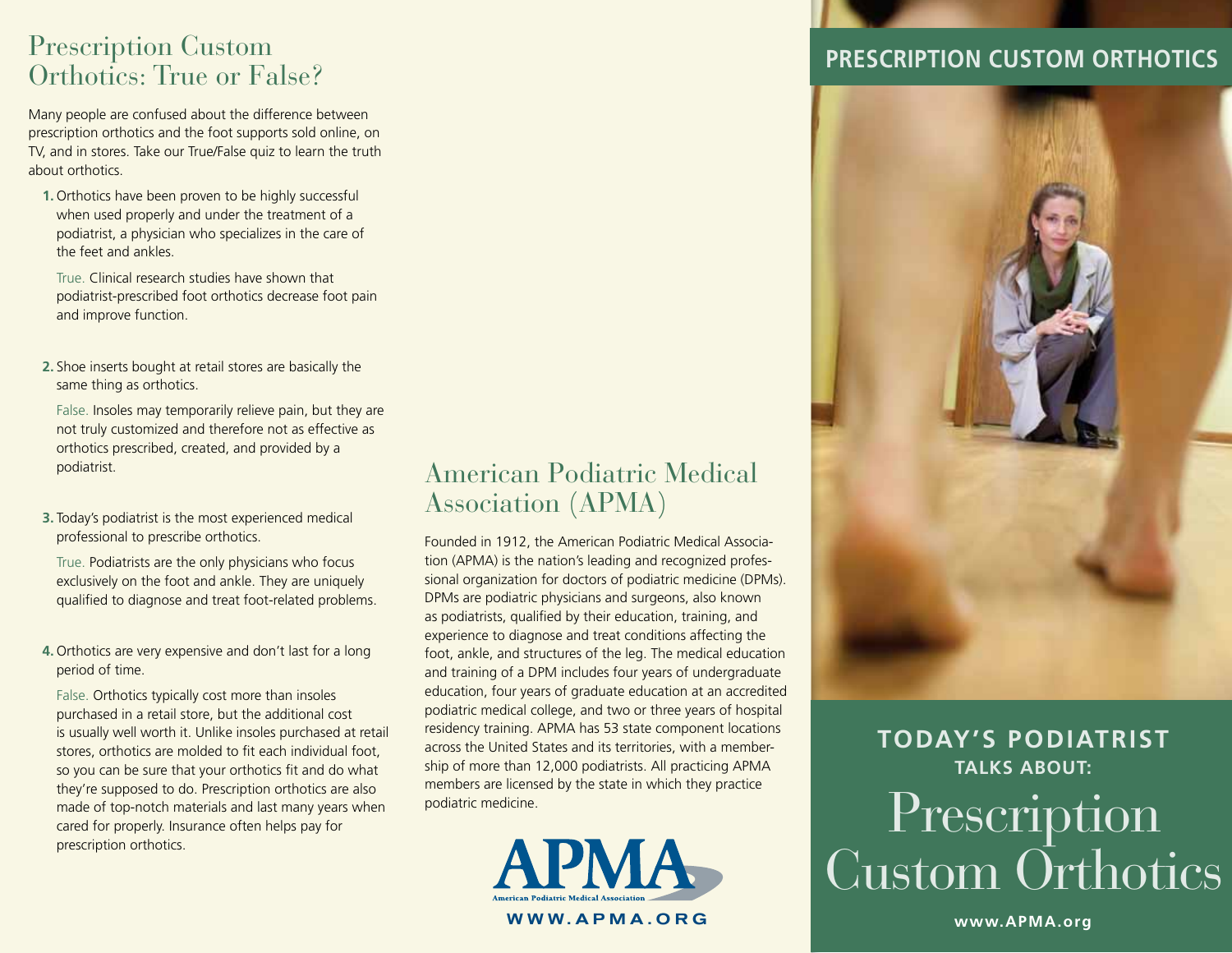### Prescription Custom Orthotics: True or False?

Many people are confused about the difference between prescription orthotics and the foot supports sold online, on TV, and in stores. Take our True/False quiz to learn the truth about orthotics.

**1.** Orthotics have been proven to be highly successful when used properly and under the treatment of a podiatrist, a physician who specializes in the care of the feet and ankles.

 True. Clinical research studies have shown that podiatrist-prescribed foot orthotics decrease foot pain and improve function.

**2.** Shoe inserts bought at retail stores are basically the same thing as orthotics.

 False. Insoles may temporarily relieve pain, but they are not truly customized and therefore not as effective as orthotics prescribed, created, and provided by a podiatrist.

**3.** Today's podiatrist is the most experienced medical professional to prescribe orthotics.

 True. Podiatrists are the only physicians who focus exclusively on the foot and ankle. They are uniquely qualified to diagnose and treat foot-related problems.

**4.** Orthotics are very expensive and don't last for a long period of time.

 False. Orthotics typically cost more than insoles purchased in a retail store, but the additional cost is usually well worth it. Unlike insoles purchased at retail stores, orthotics are molded to fit each individual foot, so you can be sure that your orthotics fit and do what they're supposed to do. Prescription orthotics are also made of top-notch materials and last many years when cared for properly. Insurance often helps pay for prescription orthotics.

## American Podiatric Medical Association (APMA)

Founded in 1912, the American Podiatric Medical Association (APMA) is the nation's leading and recognized professional organization for doctors of podiatric medicine (DPMs). DPMs are podiatric physicians and surgeons, also known as podiatrists, qualified by their education, training, and experience to diagnose and treat conditions affecting the foot, ankle, and structures of the leg. The medical education and training of a DPM includes four years of undergraduate education, four years of graduate education at an accredited podiatric medical college, and two or three years of hospital residency training. APMA has 53 state component locations across the United States and its territories, with a membership of more than 12,000 podiatrists. All practicing APMA members are licensed by the state in which they practice podiatric medicine.



### **Prescription Custom Orthotics**



**Today's Podiatrist talks about:** Prescription Custom Orthotics

**www.APMA.org**